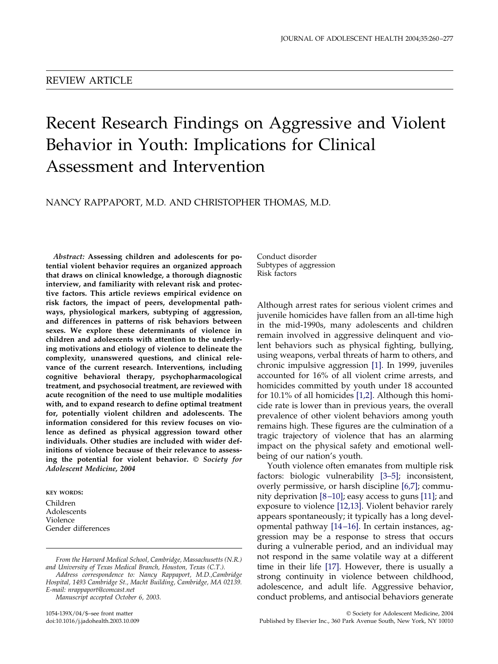## REVIEW ARTICLE

# Recent Research Findings on Aggressive and Violent Behavior in Youth: Implications for Clinical Assessment and Intervention

NANCY RAPPAPORT, M.D. AND CHRISTOPHER THOMAS, M.D.

*Abstract:* **Assessing children and adolescents for potential violent behavior requires an organized approach that draws on clinical knowledge, a thorough diagnostic interview, and familiarity with relevant risk and protective factors. This article reviews empirical evidence on risk factors, the impact of peers, developmental pathways, physiological markers, subtyping of aggression, and differences in patterns of risk behaviors between sexes. We explore these determinants of violence in children and adolescents with attention to the underlying motivations and etiology of violence to delineate the complexity, unanswered questions, and clinical relevance of the current research. Interventions, including cognitive behavioral therapy, psychopharmacological treatment, and psychosocial treatment, are reviewed with acute recognition of the need to use multiple modalities with, and to expand research to define optimal treatment for, potentially violent children and adolescents. The information considered for this review focuses on violence as defined as physical aggression toward other individuals. Other studies are included with wider definitions of violence because of their relevance to assessing the potential for violent behavior. ©** *Society for Adolescent Medicine, 2004*

**KEY WORDS:** Children Adolescents Violence Gender differences

*Manuscript accepted October 6, 2003.*

Conduct disorder Subtypes of aggression Risk factors

Although arrest rates for serious violent crimes and juvenile homicides have fallen from an all-time high in the mid-1990s, many adolescents and children remain involved in aggressive delinquent and violent behaviors such as physical fighting, bullying, using weapons, verbal threats of harm to others, and chronic impulsive aggression [\[1\].](#page-13-0) In 1999, juveniles accounted for 16% of all violent crime arrests, and homicides committed by youth under 18 accounted for 10.1% of all homicides [\[1,2\].](#page-13-0) Although this homicide rate is lower than in previous years, the overall prevalence of other violent behaviors among youth remains high. These figures are the culmination of a tragic trajectory of violence that has an alarming impact on the physical safety and emotional wellbeing of our nation's youth.

Youth violence often emanates from multiple risk factors: biologic vulnerability [\[3–5\];](#page-13-0) inconsistent, overly permissive, or harsh discipline [\[6,7\];](#page-13-0) community deprivation [\[8–10\];](#page-13-0) easy access to guns [\[11\];](#page-14-0) and exposure to violence [\[12,13\].](#page-14-0) Violent behavior rarely appears spontaneously; it typically has a long developmental pathway [\[14–16\].](#page-14-0) In certain instances, aggression may be a response to stress that occurs during a vulnerable period, and an individual may not respond in the same volatile way at a different time in their life [\[17\].](#page-14-0) However, there is usually a strong continuity in violence between childhood, adolescence, and adult life. Aggressive behavior, conduct problems, and antisocial behaviors generate

*From the Harvard Medical School, Cambridge, Massachusetts (N.R.) and University of Texas Medical Branch, Houston, Texas (C.T.).*

*Address correspondence to: Nancy Rappaport, M.D.,Cambridge Hospital, 1493 Cambridge St., Macht Building, Cambridge, MA 02139. E-mail: nrappaport@comcast.net*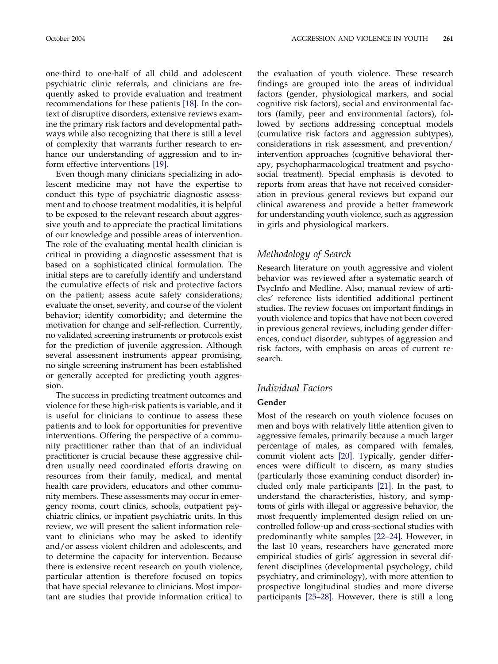one-third to one-half of all child and adolescent psychiatric clinic referrals, and clinicians are frequently asked to provide evaluation and treatment recommendations for these patients [\[18\].](#page-14-0) In the context of disruptive disorders, extensive reviews examine the primary risk factors and developmental pathways while also recognizing that there is still a level of complexity that warrants further research to enhance our understanding of aggression and to inform effective interventions [\[19\].](#page-14-0)

Even though many clinicians specializing in adolescent medicine may not have the expertise to conduct this type of psychiatric diagnostic assessment and to choose treatment modalities, it is helpful to be exposed to the relevant research about aggressive youth and to appreciate the practical limitations of our knowledge and possible areas of intervention. The role of the evaluating mental health clinician is critical in providing a diagnostic assessment that is based on a sophisticated clinical formulation. The initial steps are to carefully identify and understand the cumulative effects of risk and protective factors on the patient; assess acute safety considerations; evaluate the onset, severity, and course of the violent behavior; identify comorbidity; and determine the motivation for change and self-reflection. Currently, no validated screening instruments or protocols exist for the prediction of juvenile aggression. Although several assessment instruments appear promising, no single screening instrument has been established or generally accepted for predicting youth aggression.

The success in predicting treatment outcomes and violence for these high-risk patients is variable, and it is useful for clinicians to continue to assess these patients and to look for opportunities for preventive interventions. Offering the perspective of a community practitioner rather than that of an individual practitioner is crucial because these aggressive children usually need coordinated efforts drawing on resources from their family, medical, and mental health care providers, educators and other community members. These assessments may occur in emergency rooms, court clinics, schools, outpatient psychiatric clinics, or inpatient psychiatric units. In this review, we will present the salient information relevant to clinicians who may be asked to identify and/or assess violent children and adolescents, and to determine the capacity for intervention. Because there is extensive recent research on youth violence, particular attention is therefore focused on topics that have special relevance to clinicians. Most important are studies that provide information critical to

the evaluation of youth violence. These research findings are grouped into the areas of individual factors (gender, physiological markers, and social cognitive risk factors), social and environmental factors (family, peer and environmental factors), followed by sections addressing conceptual models (cumulative risk factors and aggression subtypes), considerations in risk assessment, and prevention/ intervention approaches (cognitive behavioral therapy, psychopharmacological treatment and psychosocial treatment). Special emphasis is devoted to reports from areas that have not received consideration in previous general reviews but expand our clinical awareness and provide a better framework for understanding youth violence, such as aggression in girls and physiological markers.

## *Methodology of Search*

Research literature on youth aggressive and violent behavior was reviewed after a systematic search of PsycInfo and Medline. Also, manual review of articles' reference lists identified additional pertinent studies. The review focuses on important findings in youth violence and topics that have not been covered in previous general reviews, including gender differences, conduct disorder, subtypes of aggression and risk factors, with emphasis on areas of current research.

## *Individual Factors*

## **Gender**

Most of the research on youth violence focuses on men and boys with relatively little attention given to aggressive females, primarily because a much larger percentage of males, as compared with females, commit violent acts [\[20\].](#page-14-0) Typically, gender differences were difficult to discern, as many studies (particularly those examining conduct disorder) included only male participants [\[21\].](#page-14-0) In the past, to understand the characteristics, history, and symptoms of girls with illegal or aggressive behavior, the most frequently implemented design relied on uncontrolled follow-up and cross-sectional studies with predominantly white samples [\[22–24\].](#page-14-0) However, in the last 10 years, researchers have generated more empirical studies of girls' aggression in several different disciplines (developmental psychology, child psychiatry, and criminology), with more attention to prospective longitudinal studies and more diverse participants [\[25–28\].](#page-14-0) However, there is still a long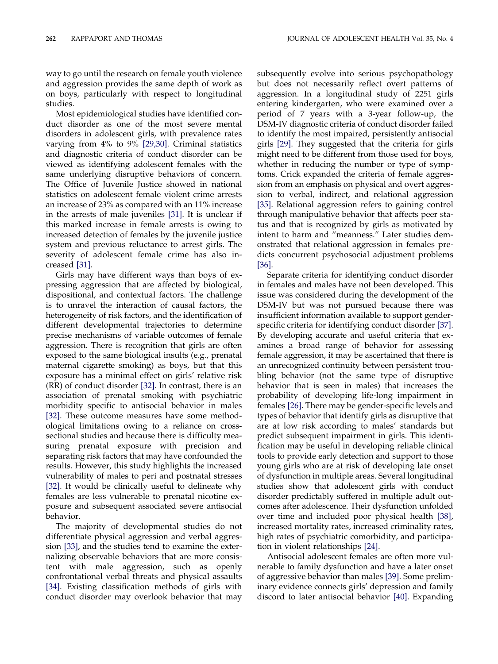way to go until the research on female youth violence and aggression provides the same depth of work as on boys, particularly with respect to longitudinal studies.

Most epidemiological studies have identified conduct disorder as one of the most severe mental disorders in adolescent girls, with prevalence rates varying from 4% to 9% [\[29,30\].](#page-14-0) Criminal statistics and diagnostic criteria of conduct disorder can be viewed as identifying adolescent females with the same underlying disruptive behaviors of concern. The Office of Juvenile Justice showed in national statistics on adolescent female violent crime arrests an increase of 23% as compared with an 11% increase in the arrests of male juveniles [\[31\].](#page-14-0) It is unclear if this marked increase in female arrests is owing to increased detection of females by the juvenile justice system and previous reluctance to arrest girls. The severity of adolescent female crime has also increased [\[31\].](#page-14-0)

Girls may have different ways than boys of expressing aggression that are affected by biological, dispositional, and contextual factors. The challenge is to unravel the interaction of causal factors, the heterogeneity of risk factors, and the identification of different developmental trajectories to determine precise mechanisms of variable outcomes of female aggression. There is recognition that girls are often exposed to the same biological insults (e.g., prenatal maternal cigarette smoking) as boys, but that this exposure has a minimal effect on girls' relative risk (RR) of conduct disorder [\[32\].](#page-14-0) In contrast, there is an association of prenatal smoking with psychiatric morbidity specific to antisocial behavior in males [\[32\].](#page-14-0) These outcome measures have some methodological limitations owing to a reliance on crosssectional studies and because there is difficulty measuring prenatal exposure with precision and separating risk factors that may have confounded the results. However, this study highlights the increased vulnerability of males to peri and postnatal stresses [\[32\].](#page-14-0) It would be clinically useful to delineate why females are less vulnerable to prenatal nicotine exposure and subsequent associated severe antisocial behavior.

The majority of developmental studies do not differentiate physical aggression and verbal aggression [\[33\],](#page-14-0) and the studies tend to examine the externalizing observable behaviors that are more consistent with male aggression, such as openly confrontational verbal threats and physical assaults [\[34\].](#page-14-0) Existing classification methods of girls with conduct disorder may overlook behavior that may

subsequently evolve into serious psychopathology but does not necessarily reflect overt patterns of aggression. In a longitudinal study of 2251 girls entering kindergarten, who were examined over a period of 7 years with a 3-year follow-up, the DSM-IV diagnostic criteria of conduct disorder failed to identify the most impaired, persistently antisocial girls [\[29\].](#page-14-0) They suggested that the criteria for girls might need to be different from those used for boys, whether in reducing the number or type of symptoms. Crick expanded the criteria of female aggression from an emphasis on physical and overt aggression to verbal, indirect, and relational aggression [\[35\].](#page-14-0) Relational aggression refers to gaining control through manipulative behavior that affects peer status and that is recognized by girls as motivated by intent to harm and "meanness." Later studies demonstrated that relational aggression in females predicts concurrent psychosocial adjustment problems [\[36\].](#page-14-0)

Separate criteria for identifying conduct disorder in females and males have not been developed. This issue was considered during the development of the DSM-IV but was not pursued because there was insufficient information available to support genderspecific criteria for identifying conduct disorder [\[37\].](#page-14-0) By developing accurate and useful criteria that examines a broad range of behavior for assessing female aggression, it may be ascertained that there is an unrecognized continuity between persistent troubling behavior (not the same type of disruptive behavior that is seen in males) that increases the probability of developing life-long impairment in females [\[26\].](#page-14-0) There may be gender-specific levels and types of behavior that identify girls as disruptive that are at low risk according to males' standards but predict subsequent impairment in girls. This identification may be useful in developing reliable clinical tools to provide early detection and support to those young girls who are at risk of developing late onset of dysfunction in multiple areas. Several longitudinal studies show that adolescent girls with conduct disorder predictably suffered in multiple adult outcomes after adolescence. Their dysfunction unfolded over time and included poor physical health [\[38\],](#page-14-0) increased mortality rates, increased criminality rates, high rates of psychiatric comorbidity, and participation in violent relationships [\[24\].](#page-14-0)

Antisocial adolescent females are often more vulnerable to family dysfunction and have a later onset of aggressive behavior than males [\[39\].](#page-14-0) Some preliminary evidence connects girls' depression and family discord to later antisocial behavior [\[40\].](#page-14-0) Expanding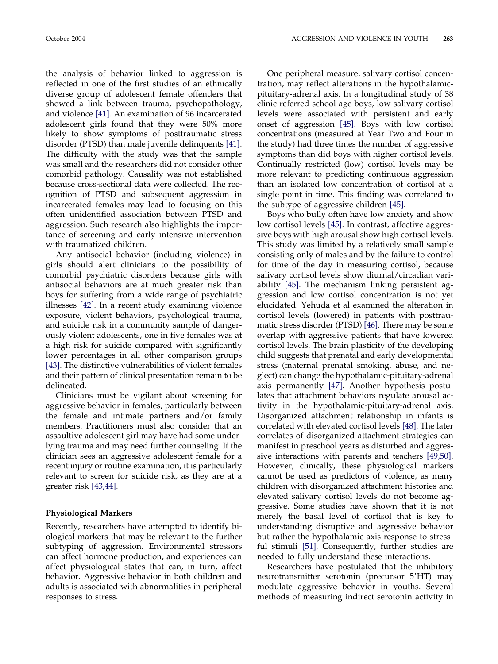the analysis of behavior linked to aggression is reflected in one of the first studies of an ethnically diverse group of adolescent female offenders that showed a link between trauma, psychopathology, and violence [\[41\].](#page-14-0) An examination of 96 incarcerated adolescent girls found that they were 50% more likely to show symptoms of posttraumatic stress disorder (PTSD) than male juvenile delinquents [\[41\].](#page-14-0) The difficulty with the study was that the sample was small and the researchers did not consider other comorbid pathology. Causality was not established because cross-sectional data were collected. The recognition of PTSD and subsequent aggression in incarcerated females may lead to focusing on this often unidentified association between PTSD and aggression. Such research also highlights the importance of screening and early intensive intervention with traumatized children.

Any antisocial behavior (including violence) in girls should alert clinicians to the possibility of comorbid psychiatric disorders because girls with antisocial behaviors are at much greater risk than boys for suffering from a wide range of psychiatric illnesses [\[42\].](#page-14-0) In a recent study examining violence exposure, violent behaviors, psychological trauma, and suicide risk in a community sample of dangerously violent adolescents, one in five females was at a high risk for suicide compared with significantly lower percentages in all other comparison groups [\[43\].](#page-14-0) The distinctive vulnerabilities of violent females and their pattern of clinical presentation remain to be delineated.

Clinicians must be vigilant about screening for aggressive behavior in females, particularly between the female and intimate partners and/or family members. Practitioners must also consider that an assaultive adolescent girl may have had some underlying trauma and may need further counseling. If the clinician sees an aggressive adolescent female for a recent injury or routine examination, it is particularly relevant to screen for suicide risk, as they are at a greater risk [\[43,44\].](#page-14-0)

## **Physiological Markers**

Recently, researchers have attempted to identify biological markers that may be relevant to the further subtyping of aggression. Environmental stressors can affect hormone production, and experiences can affect physiological states that can, in turn, affect behavior. Aggressive behavior in both children and adults is associated with abnormalities in peripheral responses to stress.

One peripheral measure, salivary cortisol concentration, may reflect alterations in the hypothalamicpituitary-adrenal axis. In a longitudinal study of 38 clinic-referred school-age boys, low salivary cortisol levels were associated with persistent and early onset of aggression [\[45\].](#page-14-0) Boys with low cortisol concentrations (measured at Year Two and Four in the study) had three times the number of aggressive symptoms than did boys with higher cortisol levels. Continually restricted (low) cortisol levels may be more relevant to predicting continuous aggression than an isolated low concentration of cortisol at a single point in time. This finding was correlated to the subtype of aggressive children [\[45\].](#page-14-0)

Boys who bully often have low anxiety and show low cortisol levels [\[45\].](#page-14-0) In contrast, affective aggressive boys with high arousal show high cortisol levels. This study was limited by a relatively small sample consisting only of males and by the failure to control for time of the day in measuring cortisol, because salivary cortisol levels show diurnal/circadian variability [\[45\].](#page-14-0) The mechanism linking persistent aggression and low cortisol concentration is not yet elucidated. Yehuda et al examined the alteration in cortisol levels (lowered) in patients with posttraumatic stress disorder (PTSD) [\[46\].](#page-14-0) There may be some overlap with aggressive patients that have lowered cortisol levels. The brain plasticity of the developing child suggests that prenatal and early developmental stress (maternal prenatal smoking, abuse, and neglect) can change the hypothalamic-pituitary-adrenal axis permanently [\[47\].](#page-14-0) Another hypothesis postulates that attachment behaviors regulate arousal activity in the hypothalamic-pituitary-adrenal axis. Disorganized attachment relationship in infants is correlated with elevated cortisol levels [\[48\].](#page-15-0) The later correlates of disorganized attachment strategies can manifest in preschool years as disturbed and aggressive interactions with parents and teachers [\[49,50\].](#page-15-0) However, clinically, these physiological markers cannot be used as predictors of violence, as many children with disorganized attachment histories and elevated salivary cortisol levels do not become aggressive. Some studies have shown that it is not merely the basal level of cortisol that is key to understanding disruptive and aggressive behavior but rather the hypothalamic axis response to stressful stimuli [\[51\].](#page-15-0) Consequently, further studies are needed to fully understand these interactions.

Researchers have postulated that the inhibitory neurotransmitter serotonin (precursor 5'HT) may modulate aggressive behavior in youths. Several methods of measuring indirect serotonin activity in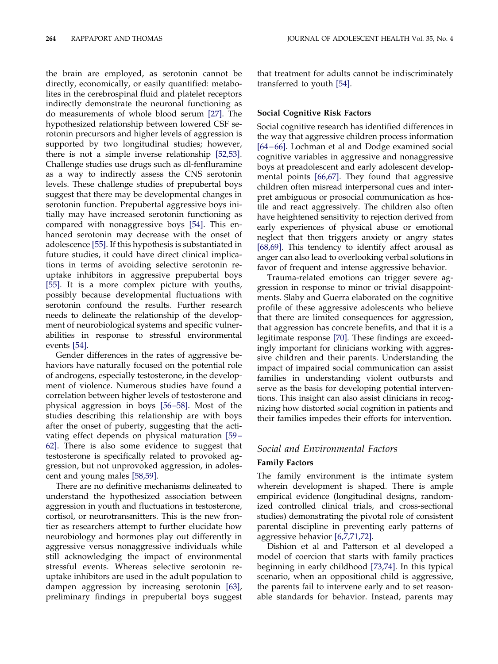the brain are employed, as serotonin cannot be directly, economically, or easily quantified: metabolites in the cerebrospinal fluid and platelet receptors indirectly demonstrate the neuronal functioning as do measurements of whole blood serum [\[27\].](#page-14-0) The hypothesized relationship between lowered CSF serotonin precursors and higher levels of aggression is supported by two longitudinal studies; however, there is not a simple inverse relationship [\[52,53\].](#page-15-0) Challenge studies use drugs such as dl-fenfluramine as a way to indirectly assess the CNS serotonin levels. These challenge studies of prepubertal boys suggest that there may be developmental changes in serotonin function. Prepubertal aggressive boys initially may have increased serotonin functioning as compared with nonaggressive boys [\[54\].](#page-15-0) This enhanced serotonin may decrease with the onset of adolescence [\[55\].](#page-15-0) If this hypothesis is substantiated in future studies, it could have direct clinical implications in terms of avoiding selective serotonin reuptake inhibitors in aggressive prepubertal boys [\[55\].](#page-15-0) It is a more complex picture with youths, possibly because developmental fluctuations with serotonin confound the results. Further research needs to delineate the relationship of the development of neurobiological systems and specific vulnerabilities in response to stressful environmental events [\[54\].](#page-15-0)

Gender differences in the rates of aggressive behaviors have naturally focused on the potential role of androgens, especially testosterone, in the development of violence. Numerous studies have found a correlation between higher levels of testosterone and physical aggression in boys [\[56–58\].](#page-15-0) Most of the studies describing this relationship are with boys after the onset of puberty, suggesting that the activating effect depends on physical maturation [\[59–](#page-15-0) [62\].](#page-15-0) There is also some evidence to suggest that testosterone is specifically related to provoked aggression, but not unprovoked aggression, in adolescent and young males [\[58,59\].](#page-15-0)

There are no definitive mechanisms delineated to understand the hypothesized association between aggression in youth and fluctuations in testosterone, cortisol, or neurotransmitters. This is the new frontier as researchers attempt to further elucidate how neurobiology and hormones play out differently in aggressive versus nonaggressive individuals while still acknowledging the impact of environmental stressful events. Whereas selective serotonin reuptake inhibitors are used in the adult population to dampen aggression by increasing serotonin [\[63\],](#page-15-0) preliminary findings in prepubertal boys suggest

that treatment for adults cannot be indiscriminately transferred to youth [\[54\].](#page-15-0)

#### **Social Cognitive Risk Factors**

Social cognitive research has identified differences in the way that aggressive children process information [\[64–66\].](#page-15-0) Lochman et al and Dodge examined social cognitive variables in aggressive and nonaggressive boys at preadolescent and early adolescent developmental points [\[66,67\].](#page-15-0) They found that aggressive children often misread interpersonal cues and interpret ambiguous or prosocial communication as hostile and react aggressively. The children also often have heightened sensitivity to rejection derived from early experiences of physical abuse or emotional neglect that then triggers anxiety or angry states [\[68,69\].](#page-15-0) This tendency to identify affect arousal as anger can also lead to overlooking verbal solutions in favor of frequent and intense aggressive behavior.

Trauma-related emotions can trigger severe aggression in response to minor or trivial disappointments. Slaby and Guerra elaborated on the cognitive profile of these aggressive adolescents who believe that there are limited consequences for aggression, that aggression has concrete benefits, and that it is a legitimate response [\[70\].](#page-15-0) These findings are exceedingly important for clinicians working with aggressive children and their parents. Understanding the impact of impaired social communication can assist families in understanding violent outbursts and serve as the basis for developing potential interventions. This insight can also assist clinicians in recognizing how distorted social cognition in patients and their families impedes their efforts for intervention.

#### *Social and Environmental Factors*

#### **Family Factors**

The family environment is the intimate system wherein development is shaped. There is ample empirical evidence (longitudinal designs, randomized controlled clinical trials, and cross-sectional studies) demonstrating the pivotal role of consistent parental discipline in preventing early patterns of aggressive behavior [\[6,7,71,72\].](#page-13-0)

Dishion et al and Patterson et al developed a model of coercion that starts with family practices beginning in early childhood [\[73,74\].](#page-15-0) In this typical scenario, when an oppositional child is aggressive, the parents fail to intervene early and to set reasonable standards for behavior. Instead, parents may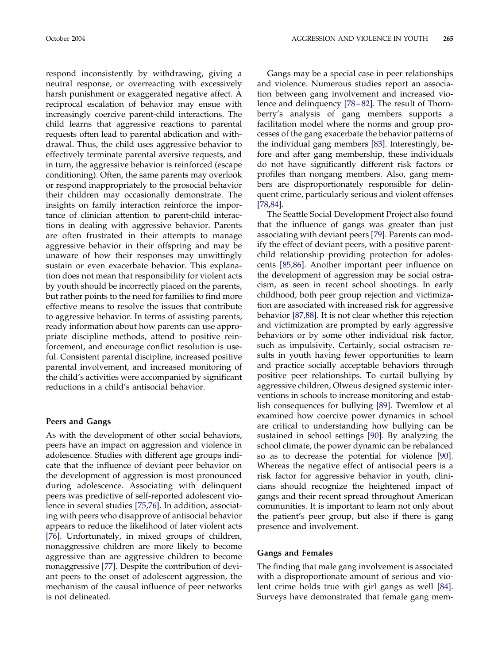respond inconsistently by withdrawing, giving a neutral response, or overreacting with excessively harsh punishment or exaggerated negative affect. A reciprocal escalation of behavior may ensue with increasingly coercive parent-child interactions. The child learns that aggressive reactions to parental requests often lead to parental abdication and withdrawal. Thus, the child uses aggressive behavior to effectively terminate parental aversive requests, and in turn, the aggressive behavior is reinforced (escape conditioning). Often, the same parents may overlook or respond inappropriately to the prosocial behavior their children may occasionally demonstrate. The insights on family interaction reinforce the importance of clinician attention to parent-child interactions in dealing with aggressive behavior. Parents are often frustrated in their attempts to manage aggressive behavior in their offspring and may be unaware of how their responses may unwittingly sustain or even exacerbate behavior. This explanation does not mean that responsibility for violent acts by youth should be incorrectly placed on the parents, but rather points to the need for families to find more effective means to resolve the issues that contribute to aggressive behavior. In terms of assisting parents, ready information about how parents can use appropriate discipline methods, attend to positive reinforcement, and encourage conflict resolution is useful. Consistent parental discipline, increased positive parental involvement, and increased monitoring of the child's activities were accompanied by significant reductions in a child's antisocial behavior.

## **Peers and Gangs**

As with the development of other social behaviors, peers have an impact on aggression and violence in adolescence. Studies with different age groups indicate that the influence of deviant peer behavior on the development of aggression is most pronounced during adolescence. Associating with delinquent peers was predictive of self-reported adolescent violence in several studies [\[75,76\].](#page-15-0) In addition, associating with peers who disapprove of antisocial behavior appears to reduce the likelihood of later violent acts [\[76\].](#page-15-0) Unfortunately, in mixed groups of children, nonaggressive children are more likely to become aggressive than are aggressive children to become nonaggressive [\[77\].](#page-15-0) Despite the contribution of deviant peers to the onset of adolescent aggression, the mechanism of the causal influence of peer networks is not delineated.

Gangs may be a special case in peer relationships and violence. Numerous studies report an association between gang involvement and increased violence and delinquency [\[78–82\].](#page-15-0) The result of Thornberry's analysis of gang members supports a facilitation model where the norms and group processes of the gang exacerbate the behavior patterns of the individual gang members [\[83\].](#page-15-0) Interestingly, before and after gang membership, these individuals do not have significantly different risk factors or profiles than nongang members. Also, gang members are disproportionately responsible for delinquent crime, particularly serious and violent offenses [\[78,84\].](#page-15-0)

The Seattle Social Development Project also found that the influence of gangs was greater than just associating with deviant peers [\[79\].](#page-15-0) Parents can modify the effect of deviant peers, with a positive parentchild relationship providing protection for adolescents [\[85,86\].](#page-15-0) Another important peer influence on the development of aggression may be social ostracism, as seen in recent school shootings. In early childhood, both peer group rejection and victimization are associated with increased risk for aggressive behavior [\[87,88\].](#page-15-0) It is not clear whether this rejection and victimization are prompted by early aggressive behaviors or by some other individual risk factor, such as impulsivity. Certainly, social ostracism results in youth having fewer opportunities to learn and practice socially acceptable behaviors through positive peer relationships. To curtail bullying by aggressive children, Olweus designed systemic interventions in schools to increase monitoring and establish consequences for bullying [\[89\].](#page-16-0) Twemlow et al examined how coercive power dynamics in school are critical to understanding how bullying can be sustained in school settings [\[90\].](#page-16-0) By analyzing the school climate, the power dynamic can be rebalanced so as to decrease the potential for violence [\[90\].](#page-16-0) Whereas the negative effect of antisocial peers is a risk factor for aggressive behavior in youth, clinicians should recognize the heightened impact of gangs and their recent spread throughout American communities. It is important to learn not only about the patient's peer group, but also if there is gang presence and involvement.

#### **Gangs and Females**

The finding that male gang involvement is associated with a disproportionate amount of serious and violent crime holds true with girl gangs as well [\[84\].](#page-15-0) Surveys have demonstrated that female gang mem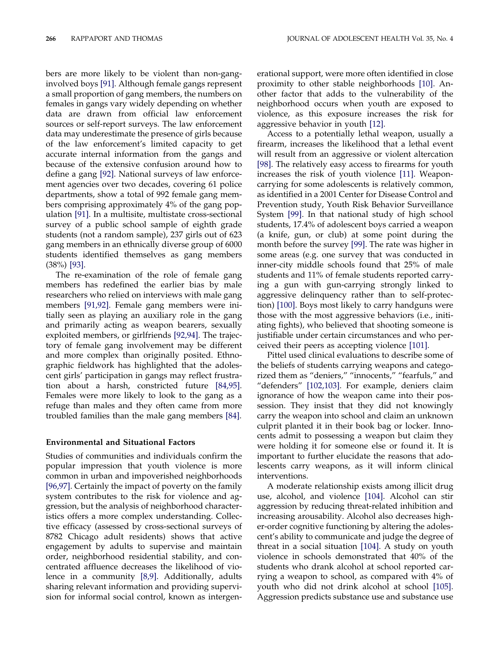bers are more likely to be violent than non-ganginvolved boys [\[91\].](#page-16-0) Although female gangs represent a small proportion of gang members, the numbers on females in gangs vary widely depending on whether data are drawn from official law enforcement sources or self-report surveys. The law enforcement data may underestimate the presence of girls because of the law enforcement's limited capacity to get accurate internal information from the gangs and because of the extensive confusion around how to define a gang [\[92\].](#page-16-0) National surveys of law enforcement agencies over two decades, covering 61 police departments, show a total of 992 female gang members comprising approximately 4% of the gang population [\[91\].](#page-16-0) In a multisite, multistate cross-sectional survey of a public school sample of eighth grade students (not a random sample), 237 girls out of 623 gang members in an ethnically diverse group of 6000 students identified themselves as gang members (38%) [\[93\].](#page-16-0)

The re-examination of the role of female gang members has redefined the earlier bias by male researchers who relied on interviews with male gang members [\[91,92\].](#page-16-0) Female gang members were initially seen as playing an auxiliary role in the gang and primarily acting as weapon bearers, sexually exploited members, or girlfriends [\[92,94\].](#page-16-0) The trajectory of female gang involvement may be different and more complex than originally posited. Ethnographic fieldwork has highlighted that the adolescent girls' participation in gangs may reflect frustration about a harsh, constricted future [\[84,95\].](#page-15-0) Females were more likely to look to the gang as a refuge than males and they often came from more troubled families than the male gang members [\[84\].](#page-15-0)

#### **Environmental and Situational Factors**

Studies of communities and individuals confirm the popular impression that youth violence is more common in urban and impoverished neighborhoods [\[96,97\].](#page-16-0) Certainly the impact of poverty on the family system contributes to the risk for violence and aggression, but the analysis of neighborhood characteristics offers a more complex understanding. Collective efficacy (assessed by cross-sectional surveys of 8782 Chicago adult residents) shows that active engagement by adults to supervise and maintain order, neighborhood residential stability, and concentrated affluence decreases the likelihood of violence in a community [\[8,9\].](#page-13-0) Additionally, adults sharing relevant information and providing supervision for informal social control, known as intergenerational support, were more often identified in close proximity to other stable neighborhoods [\[10\].](#page-14-0) Another factor that adds to the vulnerability of the neighborhood occurs when youth are exposed to violence, as this exposure increases the risk for aggressive behavior in youth [\[12\].](#page-14-0)

Access to a potentially lethal weapon, usually a firearm, increases the likelihood that a lethal event will result from an aggressive or violent altercation [\[98\].](#page-16-0) The relatively easy access to firearms for youth increases the risk of youth violence [\[11\].](#page-14-0) Weaponcarrying for some adolescents is relatively common, as identified in a 2001 Center for Disease Control and Prevention study, Youth Risk Behavior Surveillance System [\[99\].](#page-16-0) In that national study of high school students, 17.4% of adolescent boys carried a weapon (a knife, gun, or club) at some point during the month before the survey [\[99\].](#page-16-0) The rate was higher in some areas (e.g. one survey that was conducted in inner-city middle schools found that 25% of male students and 11% of female students reported carrying a gun with gun-carrying strongly linked to aggressive delinquency rather than to self-protection) [\[100\].](#page-16-0) Boys most likely to carry handguns were those with the most aggressive behaviors (i.e., initiating fights), who believed that shooting someone is justifiable under certain circumstances and who perceived their peers as accepting violence [\[101\].](#page-16-0)

Pittel used clinical evaluations to describe some of the beliefs of students carrying weapons and categorized them as "deniers," "innocents," "fearfuls," and "defenders" [\[102,103\].](#page-16-0) For example, deniers claim ignorance of how the weapon came into their possession. They insist that they did not knowingly carry the weapon into school and claim an unknown culprit planted it in their book bag or locker. Innocents admit to possessing a weapon but claim they were holding it for someone else or found it. It is important to further elucidate the reasons that adolescents carry weapons, as it will inform clinical interventions.

A moderate relationship exists among illicit drug use, alcohol, and violence [\[104\].](#page-16-0) Alcohol can stir aggression by reducing threat-related inhibition and increasing arousability. Alcohol also decreases higher-order cognitive functioning by altering the adolescent's ability to communicate and judge the degree of threat in a social situation [\[104\].](#page-16-0) A study on youth violence in schools demonstrated that 40% of the students who drank alcohol at school reported carrying a weapon to school, as compared with 4% of youth who did not drink alcohol at school [\[105\].](#page-16-0) Aggression predicts substance use and substance use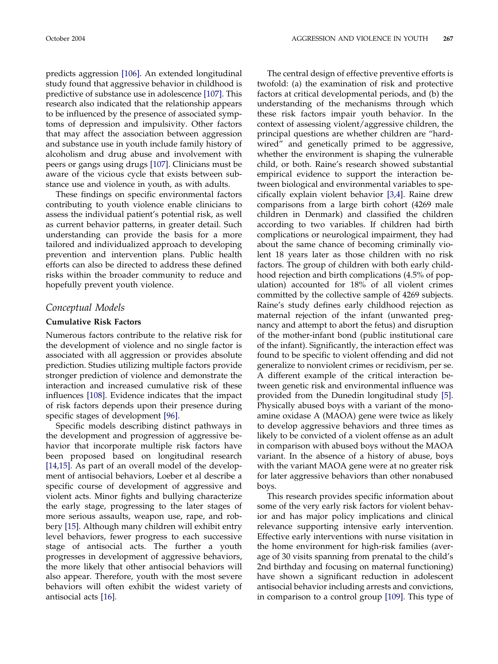predicts aggression [\[106\].](#page-16-0) An extended longitudinal study found that aggressive behavior in childhood is predictive of substance use in adolescence [\[107\].](#page-16-0) This research also indicated that the relationship appears to be influenced by the presence of associated symptoms of depression and impulsivity. Other factors that may affect the association between aggression and substance use in youth include family history of alcoholism and drug abuse and involvement with peers or gangs using drugs [\[107\].](#page-16-0) Clinicians must be aware of the vicious cycle that exists between substance use and violence in youth, as with adults.

These findings on specific environmental factors contributing to youth violence enable clinicians to assess the individual patient's potential risk, as well as current behavior patterns, in greater detail. Such understanding can provide the basis for a more tailored and individualized approach to developing prevention and intervention plans. Public health efforts can also be directed to address these defined risks within the broader community to reduce and hopefully prevent youth violence.

## *Conceptual Models*

#### **Cumulative Risk Factors**

Numerous factors contribute to the relative risk for the development of violence and no single factor is associated with all aggression or provides absolute prediction. Studies utilizing multiple factors provide stronger prediction of violence and demonstrate the interaction and increased cumulative risk of these influences [\[108\].](#page-16-0) Evidence indicates that the impact of risk factors depends upon their presence during specific stages of development [\[96\].](#page-16-0)

Specific models describing distinct pathways in the development and progression of aggressive behavior that incorporate multiple risk factors have been proposed based on longitudinal research [\[14,15\].](#page-14-0) As part of an overall model of the development of antisocial behaviors, Loeber et al describe a specific course of development of aggressive and violent acts. Minor fights and bullying characterize the early stage, progressing to the later stages of more serious assaults, weapon use, rape, and robbery [\[15\].](#page-14-0) Although many children will exhibit entry level behaviors, fewer progress to each successive stage of antisocial acts. The further a youth progresses in development of aggressive behaviors, the more likely that other antisocial behaviors will also appear. Therefore, youth with the most severe behaviors will often exhibit the widest variety of antisocial acts [\[16\].](#page-14-0)

The central design of effective preventive efforts is twofold: (a) the examination of risk and protective factors at critical developmental periods, and (b) the understanding of the mechanisms through which these risk factors impair youth behavior. In the context of assessing violent/aggressive children, the principal questions are whether children are "hardwired" and genetically primed to be aggressive, whether the environment is shaping the vulnerable child, or both. Raine's research showed substantial empirical evidence to support the interaction between biological and environmental variables to specifically explain violent behavior [\[3,4\].](#page-13-0) Raine drew comparisons from a large birth cohort (4269 male children in Denmark) and classified the children according to two variables. If children had birth complications or neurological impairment, they had about the same chance of becoming criminally violent 18 years later as those children with no risk factors. The group of children with both early childhood rejection and birth complications (4.5% of population) accounted for 18% of all violent crimes committed by the collective sample of 4269 subjects. Raine's study defines early childhood rejection as maternal rejection of the infant (unwanted pregnancy and attempt to abort the fetus) and disruption of the mother-infant bond (public institutional care of the infant). Significantly, the interaction effect was found to be specific to violent offending and did not generalize to nonviolent crimes or recidivism, per se. A different example of the critical interaction between genetic risk and environmental influence was provided from the Dunedin longitudinal study [\[5\].](#page-13-0) Physically abused boys with a variant of the monoamine oxidase A (MAOA) gene were twice as likely to develop aggressive behaviors and three times as likely to be convicted of a violent offense as an adult in comparison with abused boys without the MAOA variant. In the absence of a history of abuse, boys with the variant MAOA gene were at no greater risk for later aggressive behaviors than other nonabused boys.

This research provides specific information about some of the very early risk factors for violent behavior and has major policy implications and clinical relevance supporting intensive early intervention. Effective early interventions with nurse visitation in the home environment for high-risk families (average of 30 visits spanning from prenatal to the child's 2nd birthday and focusing on maternal functioning) have shown a significant reduction in adolescent antisocial behavior including arrests and convictions, in comparison to a control group [\[109\].](#page-16-0) This type of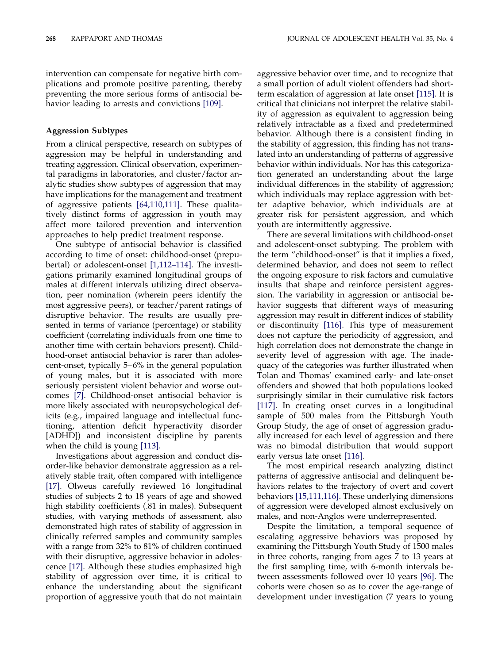intervention can compensate for negative birth complications and promote positive parenting, thereby preventing the more serious forms of antisocial behavior leading to arrests and convictions [\[109\].](#page-16-0)

#### **Aggression Subtypes**

From a clinical perspective, research on subtypes of aggression may be helpful in understanding and treating aggression. Clinical observation, experimental paradigms in laboratories, and cluster/factor analytic studies show subtypes of aggression that may have implications for the management and treatment of aggressive patients [\[64,110,111\].](#page-15-0) These qualitatively distinct forms of aggression in youth may affect more tailored prevention and intervention approaches to help predict treatment response.

One subtype of antisocial behavior is classified according to time of onset: childhood-onset (prepubertal) or adolescent-onset [\[1,112–114\].](#page-13-0) The investigations primarily examined longitudinal groups of males at different intervals utilizing direct observation, peer nomination (wherein peers identify the most aggressive peers), or teacher/parent ratings of disruptive behavior. The results are usually presented in terms of variance (percentage) or stability coefficient (correlating individuals from one time to another time with certain behaviors present). Childhood-onset antisocial behavior is rarer than adolescent-onset, typically 5–6% in the general population of young males, but it is associated with more seriously persistent violent behavior and worse outcomes [\[7\].](#page-13-0) Childhood-onset antisocial behavior is more likely associated with neuropsychological deficits (e.g., impaired language and intellectual functioning, attention deficit hyperactivity disorder [ADHD]) and inconsistent discipline by parents when the child is young [\[113\].](#page-16-0)

Investigations about aggression and conduct disorder-like behavior demonstrate aggression as a relatively stable trait, often compared with intelligence [\[17\].](#page-14-0) Olweus carefully reviewed 16 longitudinal studies of subjects 2 to 18 years of age and showed high stability coefficients (.81 in males). Subsequent studies, with varying methods of assessment, also demonstrated high rates of stability of aggression in clinically referred samples and community samples with a range from 32% to 81% of children continued with their disruptive, aggressive behavior in adolescence [\[17\].](#page-14-0) Although these studies emphasized high stability of aggression over time, it is critical to enhance the understanding about the significant proportion of aggressive youth that do not maintain

aggressive behavior over time, and to recognize that a small portion of adult violent offenders had shortterm escalation of aggression at late onset [\[115\].](#page-16-0) It is critical that clinicians not interpret the relative stability of aggression as equivalent to aggression being relatively intractable as a fixed and predetermined behavior. Although there is a consistent finding in the stability of aggression, this finding has not translated into an understanding of patterns of aggressive behavior within individuals. Nor has this categorization generated an understanding about the large individual differences in the stability of aggression; which individuals may replace aggression with better adaptive behavior, which individuals are at greater risk for persistent aggression, and which youth are intermittently aggressive.

There are several limitations with childhood-onset and adolescent-onset subtyping. The problem with the term "childhood-onset" is that it implies a fixed, determined behavior, and does not seem to reflect the ongoing exposure to risk factors and cumulative insults that shape and reinforce persistent aggression. The variability in aggression or antisocial behavior suggests that different ways of measuring aggression may result in different indices of stability or discontinuity [\[116\].](#page-16-0) This type of measurement does not capture the periodicity of aggression, and high correlation does not demonstrate the change in severity level of aggression with age. The inadequacy of the categories was further illustrated when Tolan and Thomas' examined early- and late-onset offenders and showed that both populations looked surprisingly similar in their cumulative risk factors [\[117\].](#page-16-0) In creating onset curves in a longitudinal sample of 500 males from the Pittsburgh Youth Group Study, the age of onset of aggression gradually increased for each level of aggression and there was no bimodal distribution that would support early versus late onset [\[116\].](#page-16-0)

The most empirical research analyzing distinct patterns of aggressive antisocial and delinquent behaviors relates to the trajectory of overt and covert behaviors [\[15,111,116\].](#page-14-0) These underlying dimensions of aggression were developed almost exclusively on males, and non-Anglos were underrepresented.

Despite the limitation, a temporal sequence of escalating aggressive behaviors was proposed by examining the Pittsburgh Youth Study of 1500 males in three cohorts, ranging from ages 7 to 13 years at the first sampling time, with 6-month intervals between assessments followed over 10 years [\[96\].](#page-16-0) The cohorts were chosen so as to cover the age-range of development under investigation (7 years to young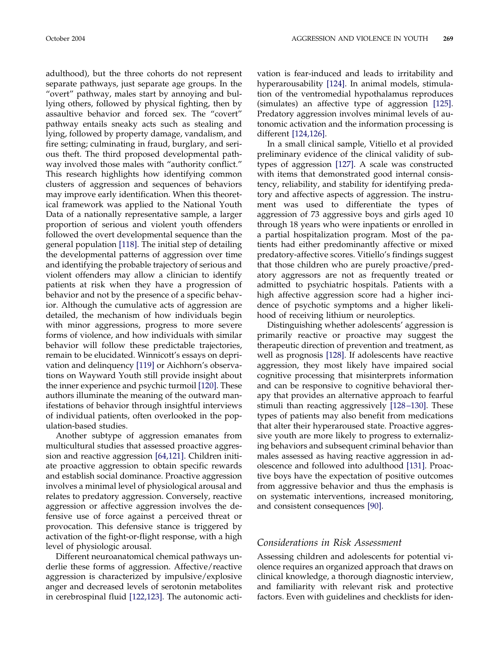adulthood), but the three cohorts do not represent separate pathways, just separate age groups. In the "overt" pathway, males start by annoying and bullying others, followed by physical fighting, then by assaultive behavior and forced sex. The "covert" pathway entails sneaky acts such as stealing and lying, followed by property damage, vandalism, and fire setting; culminating in fraud, burglary, and serious theft. The third proposed developmental pathway involved those males with "authority conflict." This research highlights how identifying common clusters of aggression and sequences of behaviors may improve early identification. When this theoretical framework was applied to the National Youth Data of a nationally representative sample, a larger proportion of serious and violent youth offenders followed the overt developmental sequence than the general population [\[118\].](#page-16-0) The initial step of detailing the developmental patterns of aggression over time and identifying the probable trajectory of serious and violent offenders may allow a clinician to identify patients at risk when they have a progression of behavior and not by the presence of a specific behavior. Although the cumulative acts of aggression are detailed, the mechanism of how individuals begin with minor aggressions, progress to more severe forms of violence, and how individuals with similar behavior will follow these predictable trajectories, remain to be elucidated. Winnicott's essays on deprivation and delinquency [\[119\]](#page-16-0) or Aichhorn's observations on Wayward Youth still provide insight about the inner experience and psychic turmoil [\[120\].](#page-16-0) These authors illuminate the meaning of the outward manifestations of behavior through insightful interviews of individual patients, often overlooked in the population-based studies.

Another subtype of aggression emanates from multicultural studies that assessed proactive aggression and reactive aggression [\[64,121\].](#page-15-0) Children initiate proactive aggression to obtain specific rewards and establish social dominance. Proactive aggression involves a minimal level of physiological arousal and relates to predatory aggression. Conversely, reactive aggression or affective aggression involves the defensive use of force against a perceived threat or provocation. This defensive stance is triggered by activation of the fight-or-flight response, with a high level of physiologic arousal.

Different neuroanatomical chemical pathways underlie these forms of aggression. Affective/reactive aggression is characterized by impulsive/explosive anger and decreased levels of serotonin metabolites in cerebrospinal fluid [\[122,123\].](#page-16-0) The autonomic activation is fear-induced and leads to irritability and hyperarousability [\[124\].](#page-16-0) In animal models, stimulation of the ventromedial hypothalamus reproduces (simulates) an affective type of aggression [\[125\].](#page-16-0) Predatory aggression involves minimal levels of autonomic activation and the information processing is different [\[124,126\].](#page-16-0)

In a small clinical sample, Vitiello et al provided preliminary evidence of the clinical validity of subtypes of aggression [\[127\].](#page-17-0) A scale was constructed with items that demonstrated good internal consistency, reliability, and stability for identifying predatory and affective aspects of aggression. The instrument was used to differentiate the types of aggression of 73 aggressive boys and girls aged 10 through 18 years who were inpatients or enrolled in a partial hospitalization program. Most of the patients had either predominantly affective or mixed predatory-affective scores. Vitiello's findings suggest that those children who are purely proactive/predatory aggressors are not as frequently treated or admitted to psychiatric hospitals. Patients with a high affective aggression score had a higher incidence of psychotic symptoms and a higher likelihood of receiving lithium or neuroleptics.

Distinguishing whether adolescents' aggression is primarily reactive or proactive may suggest the therapeutic direction of prevention and treatment, as well as prognosis [\[128\].](#page-17-0) If adolescents have reactive aggression, they most likely have impaired social cognitive processing that misinterprets information and can be responsive to cognitive behavioral therapy that provides an alternative approach to fearful stimuli than reacting aggressively [\[128–130\].](#page-17-0) These types of patients may also benefit from medications that alter their hyperaroused state. Proactive aggressive youth are more likely to progress to externalizing behaviors and subsequent criminal behavior than males assessed as having reactive aggression in adolescence and followed into adulthood [\[131\].](#page-17-0) Proactive boys have the expectation of positive outcomes from aggressive behavior and thus the emphasis is on systematic interventions, increased monitoring, and consistent consequences [\[90\].](#page-16-0)

## *Considerations in Risk Assessment*

Assessing children and adolescents for potential violence requires an organized approach that draws on clinical knowledge, a thorough diagnostic interview, and familiarity with relevant risk and protective factors. Even with guidelines and checklists for iden-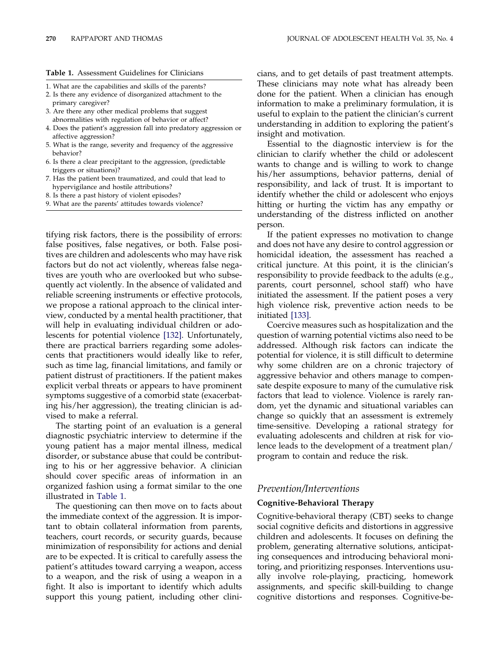#### **Table 1.** Assessment Guidelines for Clinicians

- 1. What are the capabilities and skills of the parents?
- 2. Is there any evidence of disorganized attachment to the primary caregiver?
- 3. Are there any other medical problems that suggest abnormalities with regulation of behavior or affect?
- 4. Does the patient's aggression fall into predatory aggression or affective aggression?
- 5. What is the range, severity and frequency of the aggressive behavior?
- 6. Is there a clear precipitant to the aggression, (predictable triggers or situations)?
- 7. Has the patient been traumatized, and could that lead to hypervigilance and hostile attributions?
- 8. Is there a past history of violent episodes?
- 9. What are the parents' attitudes towards violence?

tifying risk factors, there is the possibility of errors: false positives, false negatives, or both. False positives are children and adolescents who may have risk factors but do not act violently, whereas false negatives are youth who are overlooked but who subsequently act violently. In the absence of validated and reliable screening instruments or effective protocols, we propose a rational approach to the clinical interview, conducted by a mental health practitioner, that will help in evaluating individual children or adolescents for potential violence [\[132\].](#page-17-0) Unfortunately, there are practical barriers regarding some adolescents that practitioners would ideally like to refer, such as time lag, financial limitations, and family or patient distrust of practitioners. If the patient makes explicit verbal threats or appears to have prominent symptoms suggestive of a comorbid state (exacerbating his/her aggression), the treating clinician is advised to make a referral.

The starting point of an evaluation is a general diagnostic psychiatric interview to determine if the young patient has a major mental illness, medical disorder, or substance abuse that could be contributing to his or her aggressive behavior. A clinician should cover specific areas of information in an organized fashion using a format similar to the one illustrated in Table 1.

The questioning can then move on to facts about the immediate context of the aggression. It is important to obtain collateral information from parents, teachers, court records, or security guards, because minimization of responsibility for actions and denial are to be expected. It is critical to carefully assess the patient's attitudes toward carrying a weapon, access to a weapon, and the risk of using a weapon in a fight. It also is important to identify which adults support this young patient, including other clinicians, and to get details of past treatment attempts. These clinicians may note what has already been done for the patient. When a clinician has enough information to make a preliminary formulation, it is useful to explain to the patient the clinician's current understanding in addition to exploring the patient's insight and motivation.

Essential to the diagnostic interview is for the clinician to clarify whether the child or adolescent wants to change and is willing to work to change his/her assumptions, behavior patterns, denial of responsibility, and lack of trust. It is important to identify whether the child or adolescent who enjoys hitting or hurting the victim has any empathy or understanding of the distress inflicted on another person.

If the patient expresses no motivation to change and does not have any desire to control aggression or homicidal ideation, the assessment has reached a critical juncture. At this point, it is the clinician's responsibility to provide feedback to the adults (e.g., parents, court personnel, school staff) who have initiated the assessment. If the patient poses a very high violence risk, preventive action needs to be initiated [\[133\].](#page-17-0)

Coercive measures such as hospitalization and the question of warning potential victims also need to be addressed. Although risk factors can indicate the potential for violence, it is still difficult to determine why some children are on a chronic trajectory of aggressive behavior and others manage to compensate despite exposure to many of the cumulative risk factors that lead to violence. Violence is rarely random, yet the dynamic and situational variables can change so quickly that an assessment is extremely time-sensitive. Developing a rational strategy for evaluating adolescents and children at risk for violence leads to the development of a treatment plan/ program to contain and reduce the risk.

## *Prevention/Interventions*

#### **Cognitive-Behavioral Therapy**

Cognitive-behavioral therapy (CBT) seeks to change social cognitive deficits and distortions in aggressive children and adolescents. It focuses on defining the problem, generating alternative solutions, anticipating consequences and introducing behavioral monitoring, and prioritizing responses. Interventions usually involve role-playing, practicing, homework assignments, and specific skill-building to change cognitive distortions and responses. Cognitive-be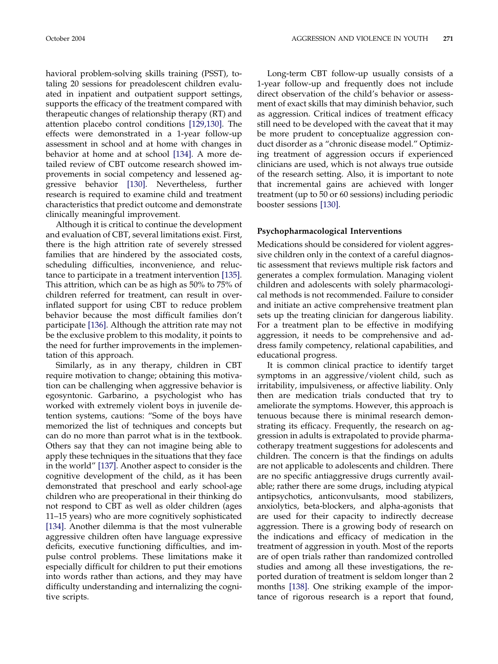havioral problem-solving skills training (PSST), totaling 20 sessions for preadolescent children evaluated in inpatient and outpatient support settings, supports the efficacy of the treatment compared with therapeutic changes of relationship therapy (RT) and attention placebo control conditions [\[129,130\].](#page-17-0) The effects were demonstrated in a 1-year follow-up assessment in school and at home with changes in behavior at home and at school [\[134\].](#page-17-0) A more detailed review of CBT outcome research showed improvements in social competency and lessened aggressive behavior [\[130\].](#page-17-0) Nevertheless, further research is required to examine child and treatment characteristics that predict outcome and demonstrate clinically meaningful improvement.

Although it is critical to continue the development and evaluation of CBT, several limitations exist. First, there is the high attrition rate of severely stressed families that are hindered by the associated costs, scheduling difficulties, inconvenience, and reluctance to participate in a treatment intervention [\[135\].](#page-17-0) This attrition, which can be as high as 50% to 75% of children referred for treatment, can result in overinflated support for using CBT to reduce problem behavior because the most difficult families don't participate [\[136\].](#page-17-0) Although the attrition rate may not be the exclusive problem to this modality, it points to the need for further improvements in the implementation of this approach.

Similarly, as in any therapy, children in CBT require motivation to change; obtaining this motivation can be challenging when aggressive behavior is egosyntonic. Garbarino, a psychologist who has worked with extremely violent boys in juvenile detention systems, cautions: "Some of the boys have memorized the list of techniques and concepts but can do no more than parrot what is in the textbook. Others say that they can not imagine being able to apply these techniques in the situations that they face in the world" [\[137\].](#page-17-0) Another aspect to consider is the cognitive development of the child, as it has been demonstrated that preschool and early school-age children who are preoperational in their thinking do not respond to CBT as well as older children (ages 11–15 years) who are more cognitively sophisticated [\[134\].](#page-17-0) Another dilemma is that the most vulnerable aggressive children often have language expressive deficits, executive functioning difficulties, and impulse control problems. These limitations make it especially difficult for children to put their emotions into words rather than actions, and they may have difficulty understanding and internalizing the cognitive scripts.

Long-term CBT follow-up usually consists of a 1-year follow-up and frequently does not include direct observation of the child's behavior or assessment of exact skills that may diminish behavior, such as aggression. Critical indices of treatment efficacy still need to be developed with the caveat that it may be more prudent to conceptualize aggression conduct disorder as a "chronic disease model." Optimizing treatment of aggression occurs if experienced clinicians are used, which is not always true outside of the research setting. Also, it is important to note that incremental gains are achieved with longer treatment (up to 50 or 60 sessions) including periodic booster sessions [\[130\].](#page-17-0)

#### **Psychopharmacological Interventions**

Medications should be considered for violent aggressive children only in the context of a careful diagnostic assessment that reviews multiple risk factors and generates a complex formulation. Managing violent children and adolescents with solely pharmacological methods is not recommended. Failure to consider and initiate an active comprehensive treatment plan sets up the treating clinician for dangerous liability. For a treatment plan to be effective in modifying aggression, it needs to be comprehensive and address family competency, relational capabilities, and educational progress.

It is common clinical practice to identify target symptoms in an aggressive/violent child, such as irritability, impulsiveness, or affective liability. Only then are medication trials conducted that try to ameliorate the symptoms. However, this approach is tenuous because there is minimal research demonstrating its efficacy. Frequently, the research on aggression in adults is extrapolated to provide pharmacotherapy treatment suggestions for adolescents and children. The concern is that the findings on adults are not applicable to adolescents and children. There are no specific antiaggressive drugs currently available; rather there are some drugs, including atypical antipsychotics, anticonvulsants, mood stabilizers, anxiolytics, beta-blockers, and alpha-agonists that are used for their capacity to indirectly decrease aggression. There is a growing body of research on the indications and efficacy of medication in the treatment of aggression in youth. Most of the reports are of open trials rather than randomized controlled studies and among all these investigations, the reported duration of treatment is seldom longer than 2 months [\[138\].](#page-17-0) One striking example of the importance of rigorous research is a report that found,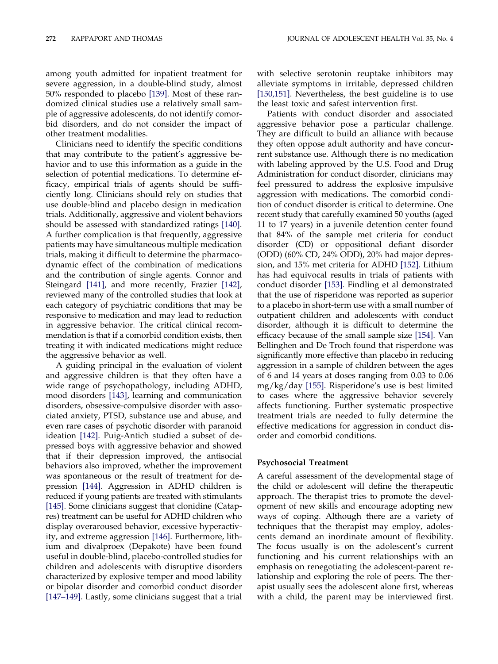among youth admitted for inpatient treatment for severe aggression, in a double-blind study, almost 50% responded to placebo [\[139\].](#page-17-0) Most of these randomized clinical studies use a relatively small sample of aggressive adolescents, do not identify comorbid disorders, and do not consider the impact of other treatment modalities.

Clinicians need to identify the specific conditions that may contribute to the patient's aggressive behavior and to use this information as a guide in the selection of potential medications. To determine efficacy, empirical trials of agents should be sufficiently long. Clinicians should rely on studies that use double-blind and placebo design in medication trials. Additionally, aggressive and violent behaviors should be assessed with standardized ratings [\[140\].](#page-17-0) A further complication is that frequently, aggressive patients may have simultaneous multiple medication trials, making it difficult to determine the pharmacodynamic effect of the combination of medications and the contribution of single agents. Connor and Steingard [\[141\],](#page-17-0) and more recently, Frazier [\[142\],](#page-17-0) reviewed many of the controlled studies that look at each category of psychiatric conditions that may be responsive to medication and may lead to reduction in aggressive behavior. The critical clinical recommendation is that if a comorbid condition exists, then treating it with indicated medications might reduce the aggressive behavior as well.

A guiding principal in the evaluation of violent and aggressive children is that they often have a wide range of psychopathology, including ADHD, mood disorders [\[143\],](#page-17-0) learning and communication disorders, obsessive-compulsive disorder with associated anxiety, PTSD, substance use and abuse, and even rare cases of psychotic disorder with paranoid ideation [\[142\].](#page-17-0) Puig-Antich studied a subset of depressed boys with aggressive behavior and showed that if their depression improved, the antisocial behaviors also improved, whether the improvement was spontaneous or the result of treatment for depression [\[144\].](#page-17-0) Aggression in ADHD children is reduced if young patients are treated with stimulants [\[145\].](#page-17-0) Some clinicians suggest that clonidine (Catapres) treatment can be useful for ADHD children who display overaroused behavior, excessive hyperactivity, and extreme aggression [\[146\].](#page-17-0) Furthermore, lithium and divalproex (Depakote) have been found useful in double-blind, placebo-controlled studies for children and adolescents with disruptive disorders characterized by explosive temper and mood lability or bipolar disorder and comorbid conduct disorder [\[147–149\].](#page-17-0) Lastly, some clinicians suggest that a trial

with selective serotonin reuptake inhibitors may alleviate symptoms in irritable, depressed children [\[150,151\].](#page-17-0) Nevertheless, the best guideline is to use the least toxic and safest intervention first.

Patients with conduct disorder and associated aggressive behavior pose a particular challenge. They are difficult to build an alliance with because they often oppose adult authority and have concurrent substance use. Although there is no medication with labeling approved by the U.S. Food and Drug Administration for conduct disorder, clinicians may feel pressured to address the explosive impulsive aggression with medications. The comorbid condition of conduct disorder is critical to determine. One recent study that carefully examined 50 youths (aged 11 to 17 years) in a juvenile detention center found that 84% of the sample met criteria for conduct disorder (CD) or oppositional defiant disorder (ODD) (60% CD, 24% ODD), 20% had major depression, and 15% met criteria for ADHD [\[152\].](#page-17-0) Lithium has had equivocal results in trials of patients with conduct disorder [\[153\].](#page-17-0) Findling et al demonstrated that the use of risperidone was reported as superior to a placebo in short-term use with a small number of outpatient children and adolescents with conduct disorder, although it is difficult to determine the efficacy because of the small sample size [\[154\].](#page-17-0) Van Bellinghen and De Troch found that risperdone was significantly more effective than placebo in reducing aggression in a sample of children between the ages of 6 and 14 years at doses ranging from 0.03 to 0.06 mg/kg/day [\[155\].](#page-17-0) Risperidone's use is best limited to cases where the aggressive behavior severely affects functioning. Further systematic prospective treatment trials are needed to fully determine the effective medications for aggression in conduct disorder and comorbid conditions.

#### **Psychosocial Treatment**

A careful assessment of the developmental stage of the child or adolescent will define the therapeutic approach. The therapist tries to promote the development of new skills and encourage adopting new ways of coping. Although there are a variety of techniques that the therapist may employ, adolescents demand an inordinate amount of flexibility. The focus usually is on the adolescent's current functioning and his current relationships with an emphasis on renegotiating the adolescent-parent relationship and exploring the role of peers. The therapist usually sees the adolescent alone first, whereas with a child, the parent may be interviewed first.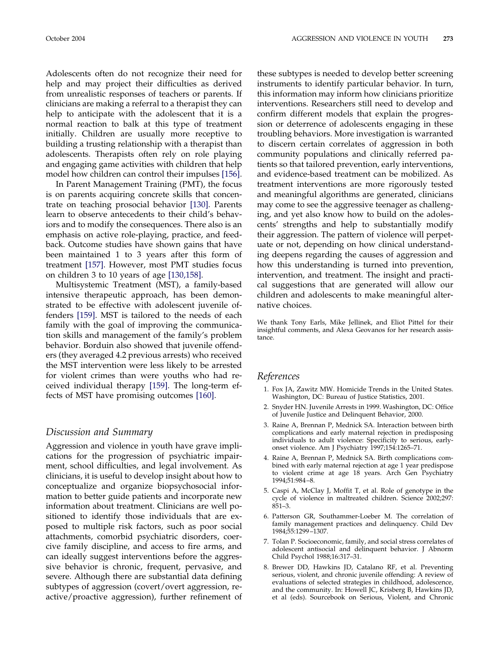<span id="page-13-0"></span>Adolescents often do not recognize their need for help and may project their difficulties as derived from unrealistic responses of teachers or parents. If clinicians are making a referral to a therapist they can help to anticipate with the adolescent that it is a normal reaction to balk at this type of treatment initially. Children are usually more receptive to building a trusting relationship with a therapist than adolescents. Therapists often rely on role playing and engaging game activities with children that help model how children can control their impulses [\[156\].](#page-17-0)

In Parent Management Training (PMT), the focus is on parents acquiring concrete skills that concentrate on teaching prosocial behavior [\[130\].](#page-17-0) Parents learn to observe antecedents to their child's behaviors and to modify the consequences. There also is an emphasis on active role-playing, practice, and feedback. Outcome studies have shown gains that have been maintained 1 to 3 years after this form of treatment [\[157\].](#page-17-0) However, most PMT studies focus on children 3 to 10 years of age [\[130,158\].](#page-17-0)

Multisystemic Treatment (MST), a family-based intensive therapeutic approach, has been demonstrated to be effective with adolescent juvenile offenders [\[159\].](#page-17-0) MST is tailored to the needs of each family with the goal of improving the communication skills and management of the family's problem behavior. Borduin also showed that juvenile offenders (they averaged 4.2 previous arrests) who received the MST intervention were less likely to be arrested for violent crimes than were youths who had received individual therapy [\[159\].](#page-17-0) The long-term effects of MST have promising outcomes [\[160\].](#page-17-0)

## *Discussion and Summary*

Aggression and violence in youth have grave implications for the progression of psychiatric impairment, school difficulties, and legal involvement. As clinicians, it is useful to develop insight about how to conceptualize and organize biopsychosocial information to better guide patients and incorporate new information about treatment. Clinicians are well positioned to identify those individuals that are exposed to multiple risk factors, such as poor social attachments, comorbid psychiatric disorders, coercive family discipline, and access to fire arms, and can ideally suggest interventions before the aggressive behavior is chronic, frequent, pervasive, and severe. Although there are substantial data defining subtypes of aggression (covert/overt aggression, reactive/proactive aggression), further refinement of these subtypes is needed to develop better screening instruments to identify particular behavior. In turn, this information may inform how clinicians prioritize interventions. Researchers still need to develop and confirm different models that explain the progression or deterrence of adolescents engaging in these troubling behaviors. More investigation is warranted to discern certain correlates of aggression in both community populations and clinically referred patients so that tailored prevention, early interventions, and evidence-based treatment can be mobilized. As treatment interventions are more rigorously tested and meaningful algorithms are generated, clinicians may come to see the aggressive teenager as challenging, and yet also know how to build on the adolescents' strengths and help to substantially modify their aggression. The pattern of violence will perpetuate or not, depending on how clinical understanding deepens regarding the causes of aggression and how this understanding is turned into prevention, intervention, and treatment. The insight and practical suggestions that are generated will allow our children and adolescents to make meaningful alternative choices.

We thank Tony Earls, Mike Jellinek, and Eliot Pittel for their insightful comments, and Alexa Geovanos for her research assistance.

#### *References*

- 1. Fox JA, Zawitz MW. Homicide Trends in the United States. Washington, DC: Bureau of Justice Statistics, 2001.
- 2. Snyder HN. Juvenile Arrests in 1999. Washington, DC: Office of Juvenile Justice and Delinquent Behavior, 2000.
- 3. Raine A, Brennan P, Mednick SA. Interaction between birth complications and early maternal rejection in predisposing individuals to adult violence: Specificity to serious, earlyonset violence. Am J Psychiatry 1997;154:1265–71.
- 4. Raine A, Brennan P, Mednick SA. Birth complications combined with early maternal rejection at age 1 year predispose to violent crime at age 18 years. Arch Gen Psychiatry 1994;51:984–8.
- 5. Caspi A, McClay J, Moffit T, et al. Role of genotype in the cycle of violence in maltreated children. Science 2002;297: 851–3.
- 6. Patterson GR, Southammer-Loeber M. The correlation of family management practices and delinquency. Child Dev 1984;55:1299–1307.
- 7. Tolan P. Socioeconomic, family, and social stress correlates of adolescent antisocial and delinquent behavior. J Abnorm Child Psychol 1988;16:317–31.
- 8. Brewer DD, Hawkins JD, Catalano RF, et al. Preventing serious, violent, and chronic juvenile offending: A review of evaluations of selected strategies in childhood, adolescence, and the community. In: Howell JC, Krisberg B, Hawkins JD, et al (eds). Sourcebook on Serious, Violent, and Chronic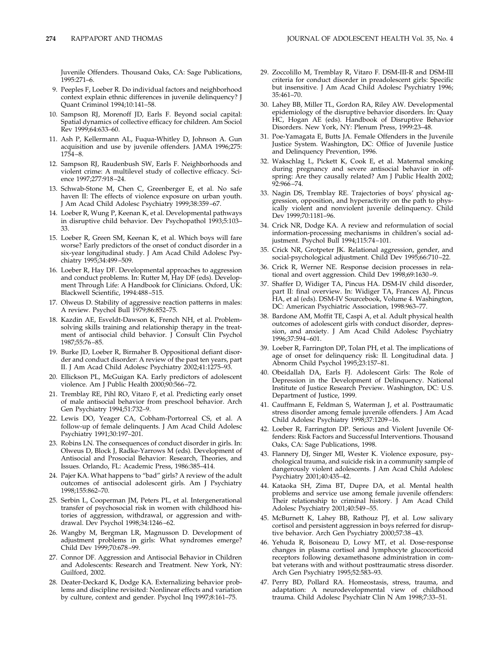<span id="page-14-0"></span>Juvenile Offenders. Thousand Oaks, CA: Sage Publications, 1995:271–6.

- 9. Peeples F, Loeber R. Do individual factors and neighborhood context explain ethnic differences in juvenile delinquency? J Quant Criminol 1994;10:141–58.
- 10. Sampson RJ, Morenoff JD, Earls F. Beyond social capital: Spatial dynamics of collective efficacy for children. Am Sociol Rev 1999;64:633–60.
- 11. Ash P, Kellermann AL, Fuqua-Whitley D, Johnson A. Gun acquisition and use by juvenile offenders. JAMA 1996;275: 1754–8.
- 12. Sampson RJ, Raudenbush SW, Earls F. Neighborhoods and violent crime: A multilevel study of collective efficacy. Science 1997;277:918–24.
- 13. Schwab-Stone M, Chen C, Greenberger E, et al. No safe haven II: The effects of violence exposure on urban youth. J Am Acad Child Adolesc Psychiatry 1999;38:359–67.
- 14. Loeber R, Wung P, Keenan K, et al. Developmental pathways in disruptive child behavior. Dev Psychopathol 1993;5:103– 33.
- 15. Loeber R, Green SM, Keenan K, et al. Which boys will fare worse? Early predictors of the onset of conduct disorder in a six-year longitudinal study. J Am Acad Child Adolesc Psychiatry 1995;34:499–509.
- 16. Loeber R, Hay DF. Developmental approaches to aggression and conduct problems. In: Rutter M, Hay DF (eds). Development Through Life: A Handbook for Clinicians. Oxford, UK: Blackwell Scientific, 1994:488–515.
- 17. Olweus D. Stability of aggressive reaction patterns in males: A review. Psychol Bull 1979;86:852–75.
- 18. Kazdin AE, Esveldt-Dawson K, French NH, et al. Problemsolving skills training and relationship therapy in the treatment of antisocial child behavior. J Consult Clin Psychol 1987;55:76–85.
- 19. Burke JD, Loeber R, Birmaher B. Oppositional defiant disorder and conduct disorder: A review of the past ten years, part II. J Am Acad Child Adolesc Psychiatry 2002;41:1275–93.
- 20. Ellickson PL, McGuigan KA. Early predictors of adolescent violence. Am J Public Health 2000;90:566–72.
- 21. Tremblay RE, Pihl RO, Vitaro F, et al. Predicting early onset of male antisocial behavior from preschool behavior. Arch Gen Psychiatry 1994;51:732–9.
- 22. Lewis DO, Yeager CA, Cobham-Portorreal CS, et al. A follow-up of female delinquents. J Am Acad Child Adolesc Psychiatry 1991;30:197–201.
- 23. Robins LN. The consequences of conduct disorder in girls. In: Olweus D, Block J, Radke-Yarrows M (eds). Development of Antisocial and Prosocial Behavior: Research, Theories, and Issues. Orlando, FL: Academic Press, 1986:385–414.
- 24. Pajer KA. What happens to "bad" girls? A review of the adult outcomes of antisocial adolescent girls. Am J Psychiatry 1998;155:862–70.
- 25. Serbin L, Cooperman JM, Peters PL, et al. Intergenerational transfer of psychosocial risk in women with childhood histories of aggression, withdrawal, or aggression and withdrawal. Dev Psychol 1998;34:1246–62.
- 26. Wangby M, Bergman LR, Magnusson D. Development of adjustment problems in girls: What syndromes emerge? Child Dev 1999;70:678–99.
- 27. Connor DF. Aggression and Antisocial Behavior in Children and Adolescents: Research and Treatment. New York, NY: Guilford, 2002.
- 28. Deater-Deckard K, Dodge KA. Externalizing behavior problems and discipline revisited: Nonlinear effects and variation by culture, context and gender. Psychol Inq 1997;8:161–75.
- 29. Zoccolillo M, Tremblay R, Vitaro F. DSM-III-R and DSM-III criteria for conduct disorder in preadolescent girls: Specific but insensitive. J Am Acad Child Adolesc Psychiatry 1996; 35:461–70.
- 30. Lahey BB, Miller TL, Gordon RA, Riley AW. Developmental epidemiology of the disruptive behavior disorders. In: Quay HC, Hogan AE (eds). Handbook of Disruptive Behavior Disorders. New York, NY: Plenum Press, 1999:23–48.
- 31. Poe-Yamagata E, Butts JA. Female Offenders in the Juvenile Justice System. Washington, DC: Office of Juvenile Justice and Delinquency Prevention, 1996.
- 32. Wakschlag L, Pickett K, Cook E, et al. Maternal smoking during pregnancy and severe antisocial behavior in offspring: Are they causally related? Am J Public Health 2002; 92:966–74.
- 33. Nagin DS, Tremblay RE. Trajectories of boys' physical aggression, opposition, and hyperactivity on the path to physically violent and nonviolent juvenile delinquency. Child Dev 1999;70:1181–96.
- 34. Crick NR, Dodge KA. A review and reformulation of social information-processing mechanisms in children's social adjustment. Psychol Bull 1994;115:74–101.
- 35. Crick NR, Grotpeter JK. Relational aggression, gender, and social-psychological adjustment. Child Dev 1995;66:710–22.
- 36. Crick R, Werner NE. Response decision processes in relational and overt aggression. Child Dev 1998;69:1630–9.
- 37. Shaffer D, Widiger TA, Pincus HA. DSM-IV child disorder, part II: final overview. In: Widiger TA, Frances AJ, Pincus HA, et al (eds). DSM-IV Sourcebook, Volume 4. Washington, DC: American Psychiatric Association, 1998:963–77.
- 38. Bardone AM, Moffit TE, Caspi A, et al. Adult physical health outcomes of adolescent girls with conduct disorder, depression, and anxiety. J Am Acad Child Adolesc Psychiatry 1996;37:594–601.
- 39. Loeber R, Farrington DP, Tolan PH, et al. The implications of age of onset for delinquency risk: II. Longitudinal data. J Abnorm Child Psychol 1995;23:157–81.
- 40. Obeidallah DA, Earls FJ. Adolescent Girls: The Role of Depression in the Development of Delinquency. National Institute of Justice Research Preview. Washington, DC: U.S. Department of Justice, 1999.
- 41. Cauffmann E, Feldman S, Waterman J, et al. Posttraumatic stress disorder among female juvenile offenders. J Am Acad Child Adolesc Psychiatry 1998;37:1209–16.
- 42. Loeber R, Farrington DP. Serious and Violent Juvenile Offenders: Risk Factors and Successful Interventions. Thousand Oaks, CA: Sage Publications, 1998.
- 43. Flannery DJ, Singer MI, Wester K. Violence exposure, psychological trauma, and suicide risk in a community sample of dangerously violent adolescents. J Am Acad Child Adolesc Psychiatry 2001;40:435–42.
- 44. Kataoka SH, Zima BT, Dupre DA, et al. Mental health problems and service use among female juvenile offenders: Their relationship to criminal history. J Am Acad Child Adolesc Psychiatry 2001;40:549–55.
- 45. McBurnett K, Lahey BB, Rathouz PJ, et al. Low salivary cortisol and persistent aggression in boys referred for disruptive behavior. Arch Gen Psychiatry 2000;57:38–43.
- 46. Yehuda R, Boisoneau D, Lowy MT, et al. Dose-response changes in plasma cortisol and lymphocyte glucocorticoid receptors following dexamethasone administration in combat veterans with and without posttraumatic stress disorder. Arch Gen Psychiatry 1995;52:583–93.
- 47. Perry BD, Pollard RA. Homeostasis, stress, trauma, and adaptation: A neurodevelopmental view of childhood trauma. Child Adolesc Psychiatr Clin N Am 1998;7:33–51.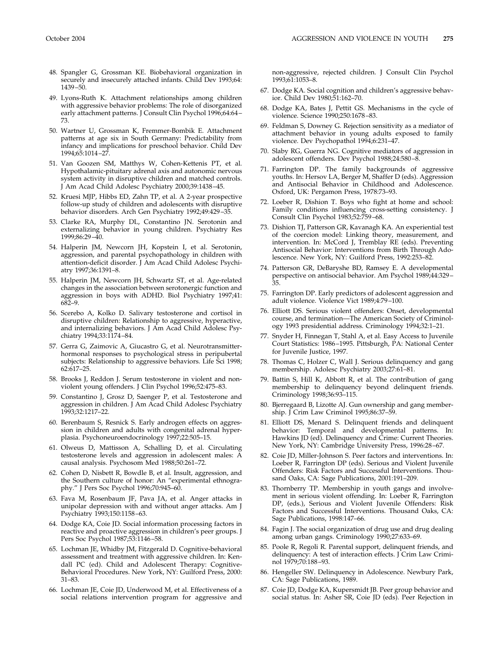- <span id="page-15-0"></span>48. Spangler G, Grossman KE. Biobehavioral organization in securely and insecurely attached infants. Child Dev 1993;64: 1439–50.
- 49. Lyons-Ruth K. Attachment relationships among children with aggressive behavior problems: The role of disorganized early attachment patterns. J Consult Clin Psychol 1996;64:64– 73.
- 50. Wartner U, Grossman K, Fremmer-Bombik E. Attachment patterns at age six in South Germany: Predictability from infancy and implications for preschool behavior. Child Dev 1994;65:1014–27.
- 51. Van Goozen SM, Matthys W, Cohen-Kettenis PT, et al. Hypothalamic-pituitary adrenal axis and autonomic nervous system activity in disruptive children and matched controls. J Am Acad Child Adolesc Psychiatry 2000;39:1438–45.
- 52. Kruesi MJP, Hibbs ED, Zahn TP, et al. A 2-year prospective follow-up study of children and adolescents with disruptive behavior disorders. Arch Gen Psychiatry 1992;49:429–35.
- 53. Clarke RA, Murphy DL, Constantino JN. Serotonin and externalizing behavior in young children. Psychiatry Res 1999;86:29–40.
- 54. Halperin JM, Newcorn JH, Kopstein I, et al. Serotonin, aggression, and parental psychopathology in children with attention-deficit disorder. J Am Acad Child Adolesc Psychiatry 1997;36:1391–8.
- 55. Halperin JM, Newcorn JH, Schwartz ST, et al. Age-related changes in the association between serotonergic function and aggression in boys with ADHD. Biol Psychiatry 1997;41: 682–9.
- 56. Scerebo A, Kolko D. Salivary testosterone and cortisol in disruptive children: Relationship to aggressive, hyperactive, and internalizing behaviors. J Am Acad Child Adolesc Psychiatry 1994;33:1174–84.
- 57. Gerra G, Zaimovic A, Giucastro G, et al. Neurotransmitterhormonal responses to psychological stress in peripubertal subjects: Relationship to aggressive behaviors. Life Sci 1998; 62:617–25.
- 58. Brooks J, Reddon J. Serum testosterone in violent and nonviolent young offenders. J Clin Psychol 1996;52:475–83.
- 59. Constantino J, Grosz D, Saenger P, et al. Testosterone and aggression in children. J Am Acad Child Adolesc Psychiatry 1993;32:1217–22.
- 60. Berenbaum S, Resnick S. Early androgen effects on aggression in children and adults with congenital adrenal hyperplasia. Psychoneuroendocrinology 1997;22:505–15.
- 61. Olweus D, Mattisson A, Schalling D, et al. Circulating testosterone levels and aggression in adolescent males: A causal analysis. Psychosom Med 1988;50:261–72.
- 62. Cohen D, Nisbett R, Bowdle B, et al. Insult, aggression, and the Southern culture of honor: An "experimental ethnography." J Pers Soc Psychol 1996;70:945–60.
- 63. Fava M, Rosenbaum JF, Pava JA, et al. Anger attacks in unipolar depression with and without anger attacks. Am J Psychiatry 1993;150:1158–63.
- 64. Dodge KA, Coie JD. Social information processing factors in reactive and proactive aggression in children's peer groups. J Pers Soc Psychol 1987;53:1146–58.
- 65. Lochman JE, Whidby JM, Fitzgerald D. Cognitive-behavioral assessment and treatment with aggressive children. In: Kendall PC (ed). Child and Adolescent Therapy: Cognitive-Behavioral Procedures. New York, NY: Guilford Press, 2000: 31–83.
- 66. Lochman JE, Coie JD, Underwood M, et al. Effectiveness of a social relations intervention program for aggressive and

non-aggressive, rejected children. J Consult Clin Psychol 1993;61:1053–8.

- 67. Dodge KA. Social cognition and children's aggressive behavior. Child Dev 1980;51:162–70.
- 68. Dodge KA, Bates J, Pettit GS. Mechanisms in the cycle of violence. Science 1990;250:1678–83.
- 69. Feldman S, Downey G. Rejection sensitivity as a mediator of attachment behavior in young adults exposed to family violence. Dev Psychopathol 1994;6:231–47.
- 70. Slaby RG, Guerra NG. Cognitive mediators of aggression in adolescent offenders. Dev Psychol 1988;24:580–8.
- 71. Farrington DP. The family backgrounds of aggressive youths. In: Hersov LA, Berger M, Shaffer D (eds). Aggression and Antisocial Behavior in Childhood and Adolescence. Oxford, UK: Pergamon Press, 1978:73–93.
- 72. Loeber R, Dishion T. Boys who fight at home and school: Family conditions influencing cross-setting consistency. J Consult Clin Psychol 1983;52:759–68.
- 73. Dishion TJ, Patterson GR, Kavanagh KA. An experiential test of the coercion model: Linking theory, measurement, and intervention. In: McCord J, Tremblay RE (eds). Preventing Antisocial Behavior: Interventions from Birth Through Adolescence. New York, NY: Guilford Press, 1992:253–82.
- 74. Patterson GR, DeBaryshe BD, Ramsey E. A developmental perspective on antisocial behavior. Am Psychol 1989;44:329– 35.
- 75. Farrington DP. Early predictors of adolescent aggression and adult violence. Violence Vict 1989;4:79–100.
- 76. Elliott DS. Serious violent offenders: Onset, developmental course, and termination—The American Society of Criminology 1993 presidential address. Criminology 1994;32:1–21.
- 77. Snyder H, Finnegan T, Stahl A, et al. Easy Access to Juvenile Court Statistics: 1986–1995. Pittsburgh, PA: National Center for Juvenile Justice, 1997.
- 78. Thomas C, Holzer C, Wall J. Serious delinquency and gang membership. Adolesc Psychiatry 2003;27:61–81.
- 79. Battin S, Hill K, Abbott R, et al. The contribution of gang membership to delinquency beyond delinquent friends. Criminology 1998;36:93–115.
- 80. Bjerregaard B, Lizotte AJ. Gun ownership and gang membership. J Crim Law Criminol 1995;86:37-59.
- 81. Elliott DS, Menard S. Delinquent friends and delinquent behavior: Temporal and developmental patterns. In: Hawkins JD (ed). Delinquency and Crime: Current Theories. New York, NY: Cambridge University Press, 1996:28–67.
- 82. Coie JD, Miller-Johnson S. Peer factors and interventions. In: Loeber R, Farrington DP (eds). Serious and Violent Juvenile Offenders: Risk Factors and Successful Interventions. Thousand Oaks, CA: Sage Publications, 2001:191–209.
- 83. Thornberry TP. Membership in youth gangs and involvement in serious violent offending. In: Loeber R, Farrington DP, (eds.), Serious and Violent Juvenile Offenders: Risk Factors and Successful Interventions. Thousand Oaks, CA: Sage Publications, 1998:147–66.
- 84. Fagin J. The social organization of drug use and drug dealing among urban gangs. Criminology 1990;27:633–69.
- 85. Poole R, Regoli R. Parental support, delinquent friends, and delinquency: A test of interaction effects. J Crim Law Criminol 1979;70:188–93.
- 86. Hengeller SW. Delinquency in Adolescence. Newbury Park, CA: Sage Publications, 1989.
- 87. Coie JD, Dodge KA, Kupersmidt JB. Peer group behavior and social status. In: Asher SR, Coie JD (eds). Peer Rejection in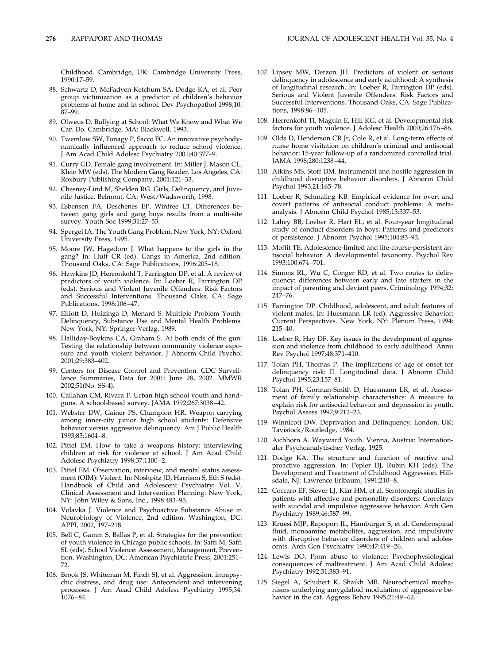<span id="page-16-0"></span>Childhood. Cambridge, UK: Cambridge University Press, 1990:17–59.

- 88. Schwartz D, McFadyen-Ketchum SA, Dodge KA, et al. Peer group victimization as a predictor of children's behavior problems at home and in school. Dev Psychopathol 1998;10: 87–99.
- 89. Olweus D. Bullying at School: What We Know and What We Can Do. Cambridge, MA: Blackwell, 1993.
- 90. Twemlow SW, Fonagy P, Sacco FC. An innovative psychodynamically influenced approach to reduce school violence. J Am Acad Child Adolesc Psychiatry 2001;40:377–9.
- 91. Curry GD. Female gang involvement. In: Miller J, Mason CL, Klein MW (eds). The Modern Gang Reader. Los Angeles, CA: Roxbury Publishing Company, 2001:121–33.
- 92. Chesney-Lind M, Shelden RG. Girls, Delinquency, and Juvenile Justice. Belmont, CA: West/Wadsworth, 1998.
- 93. Esbensen FA, Deschenes EP, Winfree LT. Differences between gang girls and gang boys results from a multi-site survey. Youth Soc 1999;31:27–53.
- 94. Spergel IA. The Youth Gang Problem. New York, NY: Oxford University Press, 1995.
- 95. Moore JW, Hagedorn J. What happens to the girls in the gang? In: Huff CR (ed). Gangs in America, 2nd edition. Thousand Oaks, CA: Sage Publications, 1996:205–18.
- 96. Hawkins JD, Herronkohl T, Farrington DP, et al. A review of predictors of youth violence. In: Loeber R, Farrington DP (eds). Serious and Violent Juvenile Offenders: Risk Factors and Successful Interventions. Thousand Oaks, CA: Sage Publications, 1998:106–47.
- 97. Elliott D, Huizinga D, Menard S. Multiple Problem Youth: Delinquency, Substance Use and Mental Health Problems. New York, NY: Springer-Verlag, 1989.
- 98. Halliday-Boykins CA, Graham S. At both ends of the gun: Testing the relationship between community violence exposure and youth violent behavior. J Abnorm Child Psychol 2001;29:383–402.
- 99. Centers for Disease Control and Prevention. CDC Surveillance Summaries, Data for 2001: June 28, 2002. MMWR 2002;51(No. SS-4).
- 100. Callahan CM, Rivara F. Urban high school youth and handguns. A school-based survey. JAMA 1992;267:3038–42.
- 101. Webster DW, Gainer PS, Champion HR. Weapon carrying among inner-city junior high school students: Defensive behavior versus aggressive delinquency. Am J Public Health 1993;83:1604–8.
- 102. Pittel EM. How to take a weapons history: interviewing children at risk for violence at school. J Am Acad Child Adolesc Psychiatry 1998;37:1100–2.
- 103. Pittel EM. Observation, interview, and mental status assessment (OIM): Violent. In: Noshpitz JD, Harrison S, Eth S (eds). Handbook of Child and Adolescent Psychiatry: Vol. V, Clinical Assessment and Intervention Planning. New York, NY: John Wiley & Sons, Inc., 1998:483–95.
- 104. Volavka J. Violence and Psychoactive Substance Abuse in Neurobiology of Violence, 2nd edition. Washington, DC: APPI, 2002, 197–218.
- 105. Bell C, Gamm S, Ballas P, et al. Strategies for the prevention of youth violence in Chicago public schools. In: Saffi M, Saffi SL (eds). School Violence: Assessment, Management, Prevention. Washington, DC: American Psychiatric Press, 2001:251– 72.
- 106. Brook JS, Whiteman M, Finch SJ, et al. Aggression, intrapsychic distress, and drug use: Antecendent and intervening processes. J Am Acad Child Adolesc Psychiatry 1995;34: 1076–84.
- 107. Lipsey MW, Derzon JH. Predictors of violent or serious delinquency in adolescence and early adulthood: A synthesis of longitudinal research. In: Loeber R, Farrington DP (eds). Serious and Violent Juvenile Offenders: Risk Factors and Successful Interventions. Thousand Oaks, CA: Sage Publications, 1998:86–105.
- 108. Herrenkohl TI, Maguin E, Hill KG, et al. Developmental risk factors for youth violence. J Adolesc Health 2000;26:176–86.
- 109. Olds D, Henderson CR Jr, Cole R, et al. Long-term effects of nurse home visitation on children's criminal and antisocial behavior: 15-year follow-up of a randomized controlled trial. JAMA 1998;280:1238–44.
- 110. Atkins MS, Stoff DM. Instrumental and hostile aggression in childhood disruptive behavior disorders. J Abnorm Child Psychol 1993;21:165–78.
- 111. Loeber R, Schmaling KB. Empirical evidence for overt and covert patterns of antisocial conduct problems: A metaanalysis. J Abnorm Child Psychol 1985;13:337–53.
- 112. Lahey BB, Loeber R, Hart EL, et al. Four-year longitudinal study of conduct disorders in boys: Patterns and predictors of persistence. J Abnorm Psychol 1995;104:83–93.
- 113. Moffit TE. Adolescence-limited and life-course-persistent antisocial behavior: A developmental taxonomy. Psychol Rev 1993;100:674–701.
- 114. Simons RL, Wu C, Conger RD, et al. Two routes to delinquency: differences between early and late starters in the impact of parenting and deviant peers. Criminology 1994;32: 247–76.
- 115. Farrington DP. Childhood, adolescent, and adult features of violent males. In: Huesmann LR (ed). Aggressive Behavior: Current Perspectives. New York, NY: Plenum Press, 1994: 215–40.
- 116. Loeber R, Hay DF. Key issues in the development of aggression and violence from childhood to early adulthood. Annu Rev Psychol 1997;48:371–410.
- 117. Tolan PH, Thomas P. The implications of age of onset for delinquency risk: II. Longitudinal data. J Abnorm Child Psychol 1995;23:157–81.
- 118. Tolan PH, Gorman-Smith D, Huesmann LR, et al. Assessment of family relationship characteristics: A measure to explain risk for antisocial behavior and depression in youth. Psychol Assess 1997;9:212–23.
- 119. Winnicott DW. Deprivation and Delinquency. London, UK: Tavistock/Routledge, 1984.
- 120. Aichhorn A. Wayward Youth. Vienna, Austria: Internationaler Psychoanalytischer Verlag, 1925.
- 121. Dodge KA. The structure and function of reactive and proactive aggression. In: Pepler DJ, Rubin KH (eds). The Development and Treatment of Childhood Aggression. Hillsdale, NJ: Lawrence Erlbaum, 1991:210–8.
- 122. Coccaro EF, Siever LJ, Klar HM, et al. Serotonergic studies in patients with affective and personality disorders: Correlates with suicidal and impulsive aggressive behavior. Arch Gen Psychiatry 1989;46:587–99.
- 123. Kruesi MJP, Rapoport JL, Hamburger S, et al. Cerebrospinal fluid, monoamine metabolites, aggression, and impulsivity with disruptive behavior disorders of children and adolescents. Arch Gen Psychiatry 1990;47:419–26.
- 124. Lewis DO. From abuse to violence: Psychophysiological consequences of maltreatment. J Am Acad Child Adolesc Psychiatry 1992;31:383–91.
- 125. Siegel A, Schubert K, Shaikh MB. Neurochemical mechanisms underlying amygdaloid modulation of aggressive behavior in the cat. Aggress Behav 1995;21:49–62.